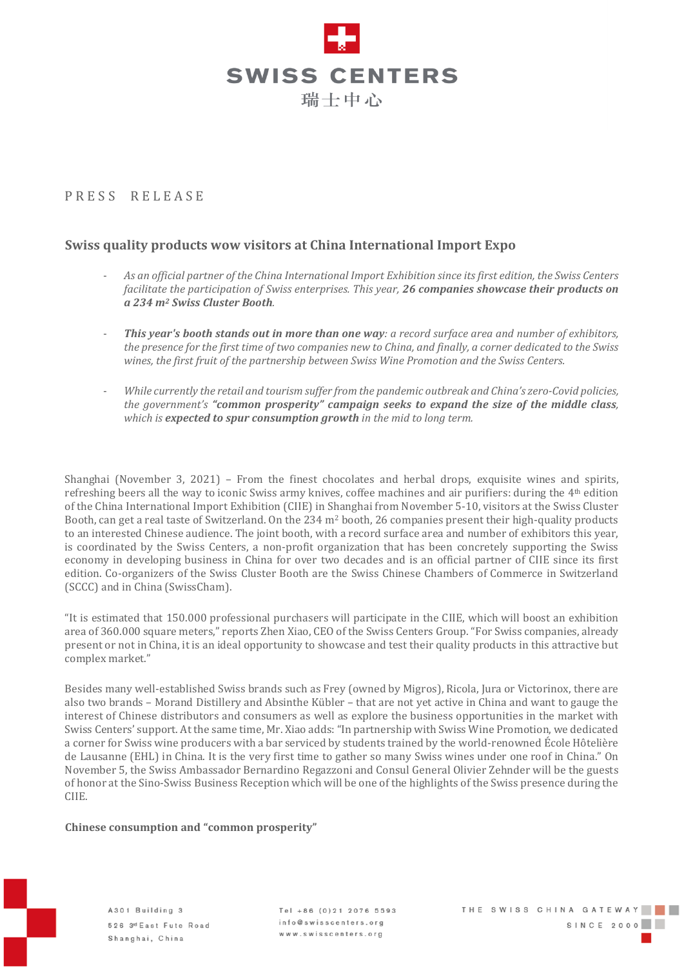

# PRESS RELEASE

## **Swiss quality products wow visitors at China International Import Expo**

- As an official partner of the China International Import Exhibition since its first edition, the Swiss Centers *facilitate the participation of Swiss enterprises. This year, 26 companies showcase their products on a 234 m<sup>2</sup> Swiss Cluster Booth.*
- This year's booth stands out in more than one way: a record surface area and number of exhibitors, the presence for the first time of two companies new to China, and finally, a corner dedicated to the Swiss *wines, the first fruit of the partnership between Swiss Wine Promotion and the Swiss Centers.*
- *While currently the retail and tourism suffer from the pandemic outbreak and China's zero-Covid policies, the government's "common prosperity" campaign seeks to expand the size of the middle class, which is expected to spur consumption growth in the mid to long term.*

Shanghai (November 3, 2021) – From the finest chocolates and herbal drops, exquisite wines and spirits, refreshing beers all the way to iconic Swiss army knives, coffee machines and air purifiers: during the 4th edition of the China International Import Exhibition (CIIE) in Shanghai from November 5-10, visitors at the Swiss Cluster Booth, can get a real taste of Switzerland. On the 234 m<sup>2</sup> booth, 26 companies present their high-quality products to an interested Chinese audience. The joint booth, with a record surface area and number of exhibitors this year, is coordinated by the Swiss Centers, a non-profit organization that has been concretely supporting the Swiss economy in developing business in China for over two decades and is an official partner of CIIE since its first edition. Co-organizers of the Swiss Cluster Booth are the Swiss Chinese Chambers of Commerce in Switzerland (SCCC) and in China (SwissCham).

"It is estimated that 150.000 professional purchasers will participate in the CIIE, which will boost an exhibition area of 360.000 square meters," reports Zhen Xiao, CEO of the Swiss Centers Group. "For Swiss companies, already present or not in China, it is an ideal opportunity to showcase and test their quality products in this attractive but complex market."

Besides many well-established Swiss brands such as Frey (owned by Migros), Ricola, Jura or Victorinox, there are also two brands – Morand Distillery and Absinthe Kübler – that are not yet active in China and want to gauge the interest of Chinese distributors and consumers as well as explore the business opportunities in the market with Swiss Centers' support. At the same time, Mr. Xiao adds: "In partnership with Swiss Wine Promotion, we dedicated a corner for Swiss wine producers with a bar serviced by students trained by the world-renowned École Hôtelière de Lausanne (EHL) in China. It is the very first time to gather so many Swiss wines under one roof in China." On November 5, the Swiss Ambassador Bernardino Regazzoni and Consul General Olivier Zehnder will be the guests of honor at the Sino-Swiss Business Reception which will be one of the highlights of the Swiss presence during the CIIE.

### **Chinese consumption and "common prosperity"**

A301 Building 3 526 3<sup>rd</sup> East Fute Road Shanghai, China

 $Tel + 86 (0) 21 2076 5593$ info@swisscenters.org www.swisscenters.org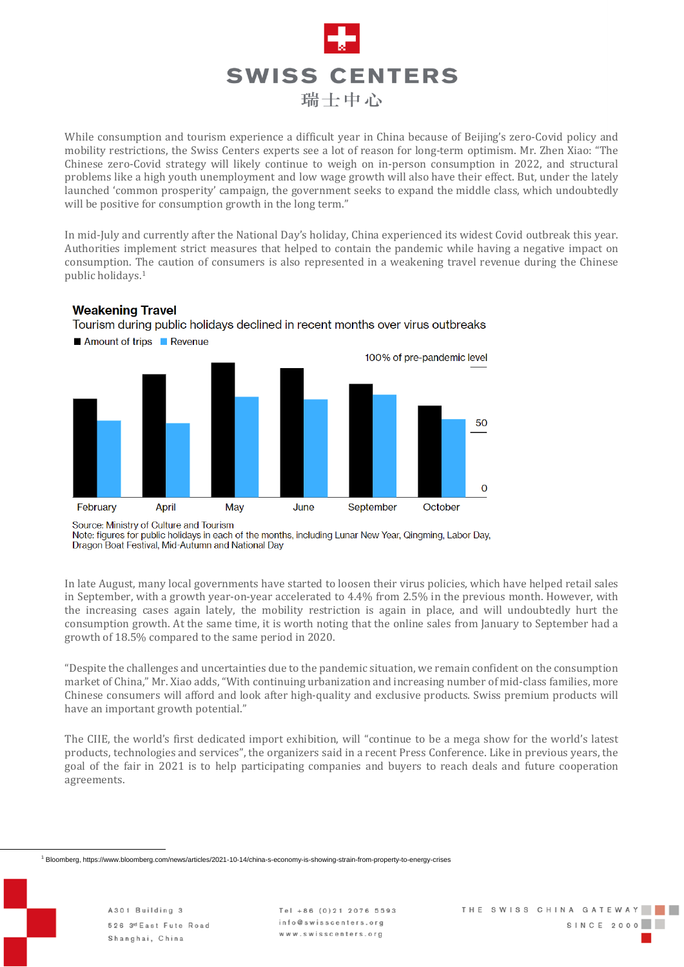

While consumption and tourism experience a difficult year in China because of Beijing's zero-Covid policy and mobility restrictions, the Swiss Centers experts see a lot of reason for long-term optimism. Mr. Zhen Xiao: "The Chinese zero-Covid strategy will likely continue to weigh on in-person consumption in 2022, and structural problems like a high youth unemployment and low wage growth will also have their effect. But, under the lately launched 'common prosperity' campaign, the government seeks to expand the middle class, which undoubtedly will be positive for consumption growth in the long term."

In mid-July and currently after the National Day's holiday, China experienced its widest Covid outbreak this year. Authorities implement strict measures that helped to contain the pandemic while having a negative impact on consumption. The caution of consumers is also represented in a weakening travel revenue during the Chinese public holidays. 1

### **Weakening Travel**

Tourism during public holidays declined in recent months over virus outbreaks



Source: Ministry of Culture and Tourism

Note: figures for public holidays in each of the months, including Lunar New Year, Qingming, Labor Day, Dragon Boat Festival, Mid-Autumn and National Day

In late August, many local governments have started to loosen their virus policies, which have helped retail sales in September, with a growth year-on-year accelerated to 4.4% from 2.5% in the previous month. However, with the increasing cases again lately, the mobility restriction is again in place, and will undoubtedly hurt the consumption growth. At the same time, it is worth noting that the online sales from January to September had a growth of 18.5% compared to the same period in 2020.

"Despite the challenges and uncertainties due to the pandemic situation, we remain confident on the consumption market of China," Mr. Xiao adds, "With continuing urbanization and increasing number of mid-class families, more Chinese consumers will afford and look after high-quality and exclusive products. Swiss premium products will have an important growth potential."

The CIIE, the world's first dedicated import exhibition, will "continue to be a mega show for the world's latest products, technologies and services", the organizers said in a recent Press Conference. Like in previous years, the goal of the fair in 2021 is to help participating companies and buyers to reach deals and future cooperation agreements.

<sup>1</sup> Bloomberg, https://www.bloomberg.com/news/articles/2021-10-14/china-s-economy-is-showing-strain-from-property-to-energy-crises

 $Tel + 86 (0)21 2076 5593$ info@swisscenters.org www.swisscenters.org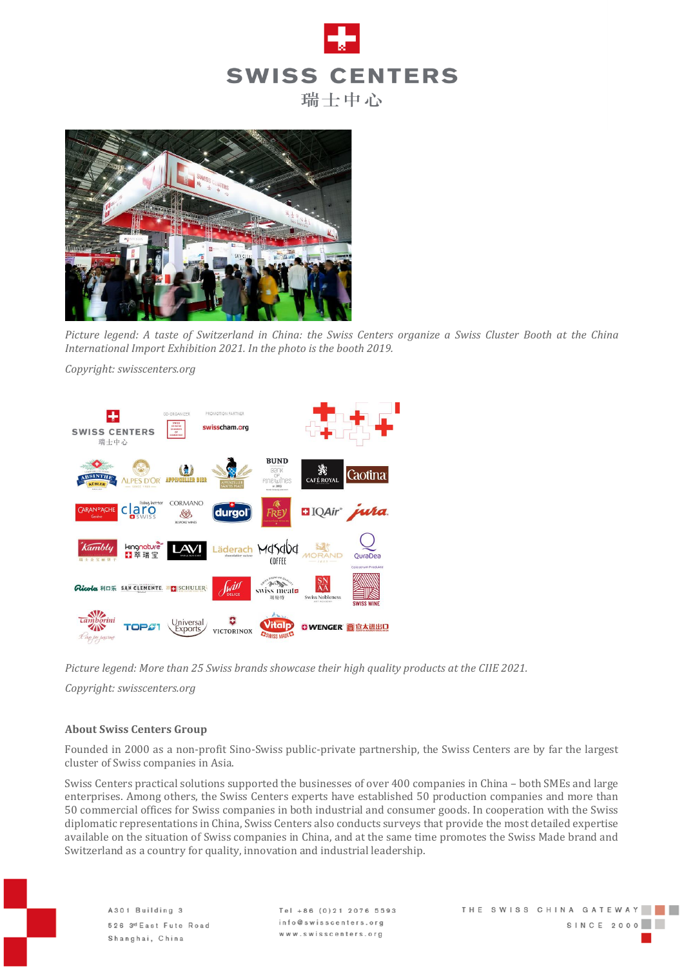



Picture legend: A taste of Switzerland in China: the Swiss Centers organize a Swiss Cluster Booth at the China *International Import Exhibition 2021. In the photo is the booth 2019.*

*Copyright: swisscenters.org*



*Picture legend: More than 25 Swiss brands showcase their high quality products at the CIIE 2021.*

*Copyright: swisscenters.org*

#### **About Swiss Centers Group**

Founded in 2000 as a non-profit Sino-Swiss public-private partnership, the Swiss Centers are by far the largest cluster of Swiss companies in Asia.

Swiss Centers practical solutions supported the businesses of over 400 companies in China – both SMEs and large enterprises. Among others, the Swiss Centers experts have established 50 production companies and more than 50 commercial offices for Swiss companies in both industrial and consumer goods. In cooperation with the Swiss diplomatic representations in China, Swiss Centers also conducts surveys that provide the most detailed expertise available on the situation of Swiss companies in China, and at the same time promotes the Swiss Made brand and Switzerland as a country for quality, innovation and industrial leadership.

 $Tel + 86 (0)21 2076 5593$ info@swisscenters.org www.swisscenters.org